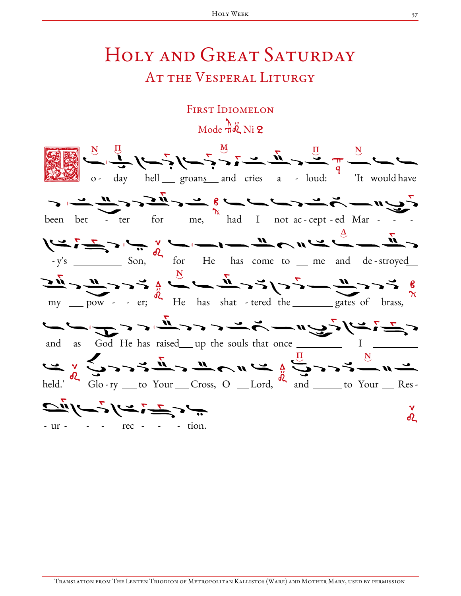## HOLY AND GREAT SATURDAY AT THE VESPERAL LITURGY

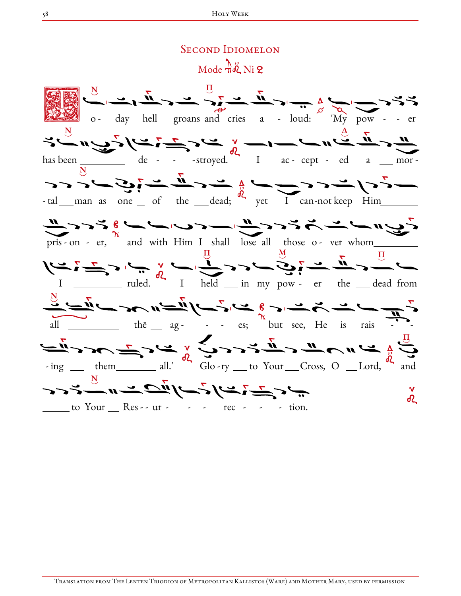